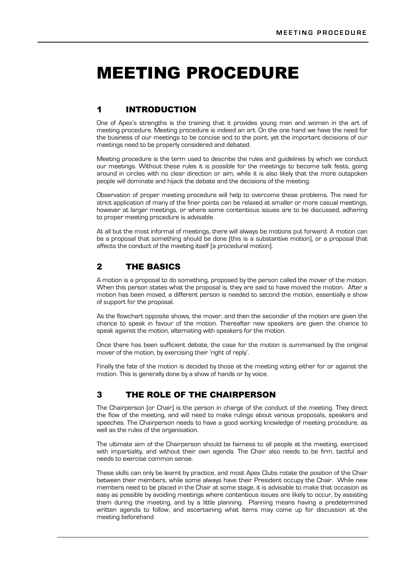# MEETING PROCEDURE

# 1 INTRODUCTION

One of Apex's strengths is the training that it provides young men and women in the art of meeting procedure. Meeting procedure is indeed an art. On the one hand we have the need for the business of our meetings to be concise and to the point, yet the important decisions of our meetings need to be properly considered and debated.

Meeting procedure is the term used to describe the rules and guidelines by which we conduct our meetings. Without these rules it is possible for the meetings to become talk fests, going around in circles with no clear direction or aim, while it is also likely that the more outspoken people will dominate and hijack the debate and the decisions of the meeting.

Observation of proper meeting procedure will help to overcome these problems. The need for strict application of many of the finer points can be relaxed at smaller or more casual meetings, however at larger meetings, or where some contentious issues are to be discussed, adhering to proper meeting procedure is advisable.

At all but the most informal of meetings, there will always be motions put forward. A motion can be a proposal that something should be done (this is a substantive motion), or a proposal that affects the conduct of the meeting itself (a procedural motion).

# 2 THE BASICS

A motion is a proposal to do something, proposed by the person called the mover of the motion. When this person states what the proposal is, they are said to have moved the motion. After a motion has been moved, a different person is needed to second the motion, essentially a show of support for the proposal.

As the flowchart opposite shows, the mover, and then the seconder of the motion are given the chance to speak in favour of the motion. Thereafter new speakers are given the chance to speak against the motion, alternating with speakers for the motion.

Once there has been sufficient debate, the case for the motion is summarised by the original mover of the motion, by exercising their 'right of reply'.

Finally the fate of the motion is decided by those at the meeting voting either for or against the motion. This is generally done by a show of hands or by voice.

# 3 THE ROLE OF THE CHAIRPERSON

The Chairperson (or Chair) is the person in charge of the conduct of the meeting. They direct the flow of the meeting, and will need to make rulings about various proposals, speakers and speeches. The Chairperson needs to have a good working knowledge of meeting procedure, as well as the rules of the organisation.

The ultimate aim of the Chairperson should be fairness to all people at the meeting, exercised with impartiality, and without their own agenda. The Chair also needs to be firm, tactful and needs to exercise common sense.

These skills can only be learnt by practice, and most Apex Clubs rotate the position of the Chair between their members, while some always have their President occupy the Chair. While new members need to be placed in the Chair at some stage, it is advisable to make that occasion as easy as possible by avoiding meetings where contentious issues are likely to occur, by assisting them during the meeting, and by a little planning. Planning means having a predetermined written agenda to follow, and ascertaining what items may come up for discussion at the meeting beforehand.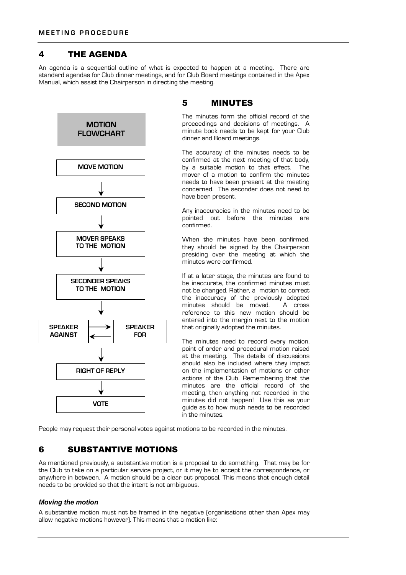# 4 THE AGENDA

An agenda is a sequential outline of what is expected to happen at a meeting. There are standard agendas for Club dinner meetings, and for Club Board meetings contained in the Apex Manual, which assist the Chairperson in directing the meeting.



# 5 MINUTES

The minutes form the official record of the proceedings and decisions of meetings. A minute book needs to be kept for your Club dinner and Board meetings.

The accuracy of the minutes needs to be confirmed at the next meeting of that body, by a suitable motion to that effect. The mover of a motion to confirm the minutes needs to have been present at the meeting concerned. The seconder does not need to have been present.

Any inaccuracies in the minutes need to be pointed out before the minutes are confirmed.

When the minutes have been confirmed. they should be signed by the Chairperson presiding over the meeting at which the minutes were confirmed.

If at a later stage, the minutes are found to be inaccurate, the confirmed minutes must not be changed. Rather, a motion to correct the inaccuracy of the previously adopted<br>minutes should be moved. A cross minutes should be moved. reference to this new motion should be entered into the margin next to the motion that originally adopted the minutes.

The minutes need to record every motion, point of order and procedural motion raised at the meeting. The details of discussions should also be included where they impact on the implementation of motions or other actions of the Club. Remembering that the minutes are the official record of the meeting, then anything not recorded in the minutes did not happen! Use this as your guide as to how much needs to be recorded in the minutes.

People may request their personal votes against motions to be recorded in the minutes.

# 6 SUBSTANTIVE MOTIONS

As mentioned previously, a substantive motion is a proposal to do something. That may be for the Club to take on a particular service project, or it may be to accept the correspondence, or anywhere in between. A motion should be a clear cut proposal. This means that enough detail needs to be provided so that the intent is not ambiguous.

### *Moving the motion*

A substantive motion must not be framed in the negative (organisations other than Apex may allow negative motions however). This means that a motion like: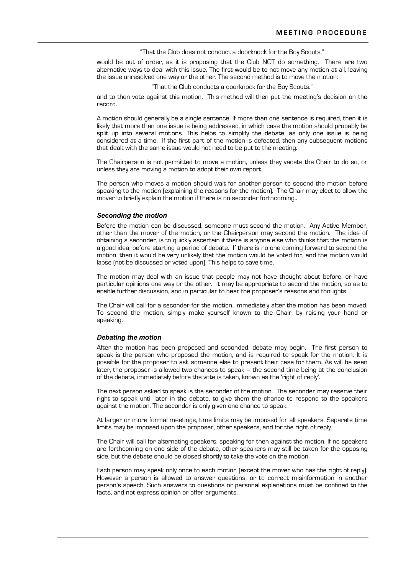"That the Club does not conduct a doorknock for the Boy Scouts."

would be out of order, as it is proposing that the Club NOT do something. There are two alternative ways to deal with this issue. The first would be to not move any motion at all, leaving the issue unresolved one way or the other. The second method is to move the motion:

"That the Club conducts a doorknock for the Boy Scouts."

and to then vote against this motion. This method will then put the meeting's decision on the record.

A motion should generally be a single sentence. If more than one sentence is required, then it is likely that more than one issue is being addressed, in which case the motion should probably be split up into several motions. This helps to simplify the debate, as only one issue is being considered at a time. If the first part of the motion is defeated, then any subsequent motions that dealt with the same issue would not need to be put to the meeting.

The Chairperson is not permitted to move a motion, unless they vacate the Chair to do so, or unless they are moving a motion to adopt their own report.

The person who moves a motion should wait for another person to second the motion before speaking to the motion (explaining the reasons for the motion). The Chair may elect to allow the mover to briefly explain the motion if there is no seconder forthcoming..

#### *Seconding the motion*

Before the motion can be discussed, someone must second the motion. Any Active Member, other than the mover of the motion, or the Chairperson may second the motion. The idea of obtaining a seconder, is to quickly ascertain if there is anyone else who thinks that the motion is a good idea, before starting a period of debate. If there is no one coming forward to second the motion, then it would be very unlikely that the motion would be voted for, and the motion would lapse (not be discussed or voted upon). This helps to save time.

The motion may deal with an issue that people may not have thought about before, or have particular opinions one way or the other. It may be appropriate to second the motion, so as to enable further discussion, and in particular to hear the proposer's reasons and thoughts.

The Chair will call for a seconder for the motion, immediately after the motion has been moved. To second the motion, simply make yourself known to the Chair, by raising your hand or speaking.

#### *Debating the motion*

After the motion has been proposed and seconded, debate may begin. The first person to speak is the person who proposed the motion, and is required to speak for the motion. It is possible for the proposer to ask someone else to present their case for them. As will be seen later, the proposer is allowed two chances to speak – the second time being at the conclusion of the debate, immediately before the vote is taken, known as the 'right of reply'.

The next person asked to speak is the seconder of the motion. The seconder may reserve their right to speak until later in the debate, to give them the chance to respond to the speakers against the motion. The seconder is only given one chance to speak.

At larger or more formal meetings, time limits may be imposed for all speakers. Separate time limits may be imposed upon the proposer, other speakers, and for the right of reply.

The Chair will call for alternating speakers, speaking for then against the motion. If no speakers are forthcoming on one side of the debate, other speakers may still be taken for the opposing side, but the debate should be closed shortly to take the vote on the motion.

Each person may speak only once to each motion (except the mover who has the right of reply). However a person is allowed to answer questions, or to correct misinformation in another person's speech. Such answers to questions or personal explanations must be confined to the facts, and not express opinion or offer arguments.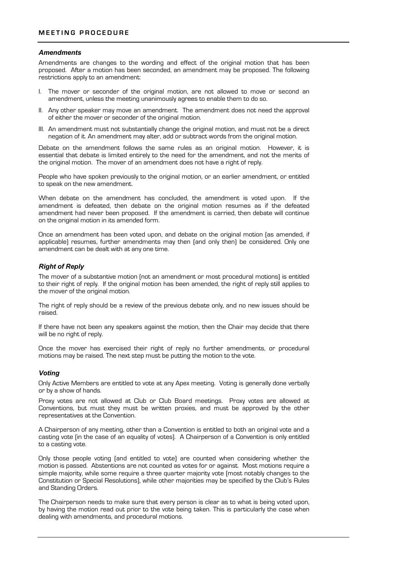### *Amendments*

Amendments are changes to the wording and effect of the original motion that has been proposed. After a motion has been seconded, an amendment may be proposed. The following restrictions apply to an amendment:

- I. The mover or seconder of the original motion, are not allowed to move or second an amendment, unless the meeting unanimously agrees to enable them to do so.
- II. Any other speaker may move an amendment. The amendment does not need the approval of either the mover or seconder of the original motion.
- III. An amendment must not substantially change the original motion, and must not be a direct negation of it. An amendment may alter, add or subtract words from the original motion.

Debate on the amendment follows the same rules as an original motion. However, it is essential that debate is limited entirely to the need for the amendment, and not the merits of the original motion. The mover of an amendment does not have a right of reply.

People who have spoken previously to the original motion, or an earlier amendment, or entitled to speak on the new amendment.

When debate on the amendment has concluded, the amendment is voted upon. If the amendment is defeated, then debate on the original motion resumes as if the defeated amendment had never been proposed. If the amendment is carried, then debate will continue on the original motion in its amended form.

Once an amendment has been voted upon, and debate on the original motion (as amended, if applicable) resumes, further amendments may then (and only then) be considered. Only one amendment can be dealt with at any one time.

### *Right of Reply*

The mover of a substantive motion (not an amendment or most procedural motions) is entitled to their right of reply. If the original motion has been amended, the right of reply still applies to the mover of the original motion.

The right of reply should be a review of the previous debate only, and no new issues should be raised.

If there have not been any speakers against the motion, then the Chair may decide that there will be no right of reply.

Once the mover has exercised their right of reply no further amendments, or procedural motions may be raised. The next step must be putting the motion to the vote.

### *Voting*

Only Active Members are entitled to vote at any Apex meeting. Voting is generally done verbally or by a show of hands.

Proxy votes are not allowed at Club or Club Board meetings. Proxy votes are allowed at Conventions, but must they must be written proxies, and must be approved by the other representatives at the Convention.

A Chairperson of any meeting, other than a Convention is entitled to both an original vote and a casting vote (in the case of an equality of votes). A Chairperson of a Convention is only entitled to a casting vote.

Only those people voting (and entitled to vote) are counted when considering whether the motion is passed. Abstentions are not counted as votes for or against. Most motions require a simple majority, while some require a three quarter majority vote (most notably changes to the Constitution or Special Resolutions), while other majorities may be specified by the Club's Rules and Standing Orders.

The Chairperson needs to make sure that every person is clear as to what is being voted upon, by having the motion read out prior to the vote being taken. This is particularly the case when dealing with amendments, and procedural motions.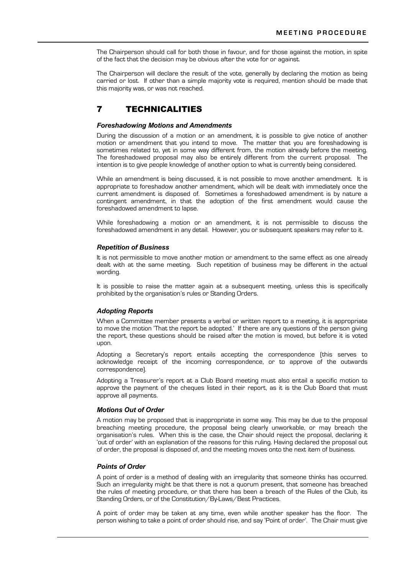The Chairperson should call for both those in favour, and for those against the motion, in spite of the fact that the decision may be obvious after the vote for or against.

The Chairperson will declare the result of the vote, generally by declaring the motion as being carried or lost. If other than a simple majority vote is required, mention should be made that this majority was, or was not reached.

# 7 TECHNICALITIES

### *Foreshadowing Motions and Amendments*

During the discussion of a motion or an amendment, it is possible to give notice of another motion or amendment that you intend to move. The matter that you are foreshadowing is sometimes related to, yet in some way different from, the motion already before the meeting. The foreshadowed proposal may also be entirely different from the current proposal. The intention is to give people knowledge of another option to what is currently being considered.

While an amendment is being discussed, it is not possible to move another amendment. It is appropriate to foreshadow another amendment, which will be dealt with immediately once the current amendment is disposed of. Sometimes a foreshadowed amendment is by nature a contingent amendment, in that the adoption of the first amendment would cause the foreshadowed amendment to lapse.

While foreshadowing a motion or an amendment, it is not permissible to discuss the foreshadowed amendment in any detail. However, you or subsequent speakers may refer to it.

#### *Repetition of Business*

It is not permissible to move another motion or amendment to the same effect as one already dealt with at the same meeting. Such repetition of business may be different in the actual wording.

It is possible to raise the matter again at a subsequent meeting, unless this is specifically prohibited by the organisation's rules or Standing Orders.

### *Adopting Reports*

When a Committee member presents a verbal or written report to a meeting, it is appropriate to move the motion 'That the report be adopted.' If there are any questions of the person giving the report, these questions should be raised after the motion is moved, but before it is voted upon.

Adopting a Secretary's report entails accepting the correspondence (this serves to acknowledge receipt of the incoming correspondence, or to approve of the outwards correspondence).

Adopting a Treasurer's report at a Club Board meeting must also entail a specific motion to approve the payment of the cheques listed in their report, as it is the Club Board that must approve all payments.

#### *Motions Out of Order*

A motion may be proposed that is inappropriate in some way. This may be due to the proposal breaching meeting procedure, the proposal being clearly unworkable, or may breach the organisation's rules. When this is the case, the Chair should reject the proposal, declaring it 'out of order' with an explanation of the reasons for this ruling. Having declared the proposal out of order, the proposal is disposed of, and the meeting moves onto the next item of business.

# *Points of Order*

A point of order is a method of dealing with an irregularity that someone thinks has occurred. Such an irregularity might be that there is not a quorum present, that someone has breached the rules of meeting procedure, or that there has been a breach of the Rules of the Club, its Standing Orders, or of the Constitution/By-Laws/Best Practices.

A point of order may be taken at any time, even while another speaker has the floor. The person wishing to take a point of order should rise, and say 'Point of order'. The Chair must give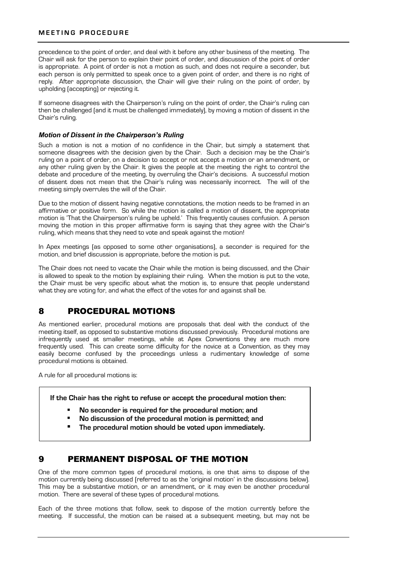### **MEETING PROCEDURE**

precedence to the point of order, and deal with it before any other business of the meeting. The Chair will ask for the person to explain their point of order, and discussion of the point of order is appropriate. A point of order is not a motion as such, and does not require a seconder, but each person is only permitted to speak once to a given point of order, and there is no right of reply. After appropriate discussion, the Chair will give their ruling on the point of order, by upholding (accepting) or rejecting it.

If someone disagrees with the Chairperson's ruling on the point of order, the Chair's ruling can then be challenged (and it must be challenged immediately), by moving a motion of dissent in the Chair's ruling.

### *Motion of Dissent in the Chairperson's Ruling*

Such a motion is not a motion of no confidence in the Chair, but simply a statement that someone disagrees with the decision given by the Chair. Such a decision may be the Chair's ruling on a point of order, on a decision to accept or not accept a motion or an amendment, or any other ruling given by the Chair. It gives the people at the meeting the right to control the debate and procedure of the meeting, by overruling the Chair's decisions. A successful motion of dissent does not mean that the Chair's ruling was necessarily incorrect. The will of the meeting simply overrules the will of the Chair.

Due to the motion of dissent having negative connotations, the motion needs to be framed in an affirmative or positive form. So while the motion is called a motion of dissent, the appropriate motion is 'That the Chairperson's ruling be upheld.' This frequently causes confusion. A person moving the motion in this proper affirmative form is saying that they agree with the Chair's ruling, which means that they need to vote and speak against the motion!

In Apex meetings (as opposed to some other organisations), a seconder is required for the motion, and brief discussion is appropriate, before the motion is put.

The Chair does not need to vacate the Chair while the motion is being discussed, and the Chair is allowed to speak to the motion by explaining their ruling. When the motion is put to the vote, the Chair must be very specific about what the motion is, to ensure that people understand what they are voting for, and what the effect of the votes for and against shall be.

# 8 PROCEDURAL MOTIONS

As mentioned earlier, procedural motions are proposals that deal with the conduct of the meeting itself, as opposed to substantive motions discussed previously. Procedural motions are infrequently used at smaller meetings, while at Apex Conventions they are much more frequently used. This can create some difficulty for the novice at a Convention, as they may easily become confused by the proceedings unless a rudimentary knowledge of some procedural motions is obtained.

A rule for all procedural motions is:

**If the Chair has the right to refuse or accept the procedural motion then:**

- ! **No seconder is required for the procedural motion; and**
- ! **No discussion of the procedural motion is permitted; and**
- ! **The procedural motion should be voted upon immediately.**

# 9 PERMANENT DISPOSAL OF THE MOTION

One of the more common types of procedural motions, is one that aims to dispose of the motion currently being discussed (referred to as the 'original motion' in the discussions below). This may be a substantive motion, or an amendment, or it may even be another procedural motion. There are several of these types of procedural motions.

Each of the three motions that follow, seek to dispose of the motion currently before the meeting. If successful, the motion can be raised at a subsequent meeting, but may not be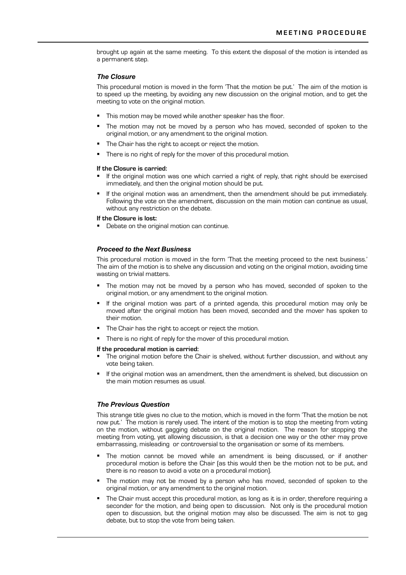brought up again at the same meeting. To this extent the disposal of the motion is intended as a permanent step.

### *The Closure*

This procedural motion is moved in the form 'That the motion be put.' The aim of the motion is to speed up the meeting, by avoiding any new discussion on the original motion, and to get the meeting to vote on the original motion.

- **This motion may be moved while another speaker has the floor.**
- The motion may not be moved by a person who has moved, seconded of spoken to the original motion, or any amendment to the original motion.
- The Chair has the right to accept or reject the motion.
- There is no right of reply for the mover of this procedural motion.

#### **If the Closure is carried:**

- ! If the original motion was one which carried a right of reply, that right should be exercised immediately, and then the original motion should be put.
- If the original motion was an amendment, then the amendment should be put immediately. Following the vote on the amendment, discussion on the main motion can continue as usual, without any restriction on the debate.

#### **If the Closure is lost:**

**•** Debate on the original motion can continue.

### *Proceed to the Next Business*

This procedural motion is moved in the form 'That the meeting proceed to the next business.' The aim of the motion is to shelve any discussion and voting on the original motion, avoiding time wasting on trivial matters.

- The motion may not be moved by a person who has moved, seconded of spoken to the original motion, or any amendment to the original motion.
- If the original motion was part of a printed agenda, this procedural motion may only be moved after the original motion has been moved, seconded and the mover has spoken to their motion.
- **The Chair has the right to accept or reject the motion.**
- **There is no right of reply for the mover of this procedural motion.**

#### **If the procedural motion is carried:**

- The original motion before the Chair is shelved, without further discussion, and without any vote being taken.
- If the original motion was an amendment, then the amendment is shelved, but discussion on the main motion resumes as usual.

### *The Previous Question*

This strange title gives no clue to the motion, which is moved in the form 'That the motion be not now put.' The motion is rarely used. The intent of the motion is to stop the meeting from voting on the motion, without gagging debate on the original motion. The reason for stopping the meeting from voting, yet allowing discussion, is that a decision one way or the other may prove embarrassing, misleading or controversial to the organisation or some of its members.

- The motion cannot be moved while an amendment is being discussed, or if another procedural motion is before the Chair (as this would then be the motion not to be put, and there is no reason to avoid a vote on a procedural motion).
- The motion may not be moved by a person who has moved, seconded of spoken to the original motion, or any amendment to the original motion.
- The Chair must accept this procedural motion, as long as it is in order, therefore requiring a seconder for the motion, and being open to discussion. Not only is the procedural motion open to discussion, but the original motion may also be discussed. The aim is not to gag debate, but to stop the vote from being taken.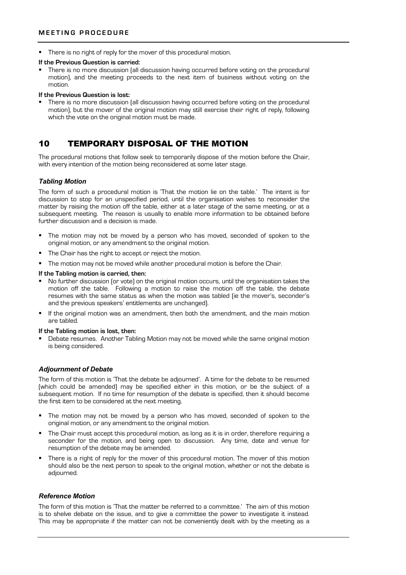**•** There is no right of reply for the mover of this procedural motion.

#### **If the Previous Question is carried:**

There is no more discussion (all discussion having occurred before voting on the procedural motion), and the meeting proceeds to the next item of business without voting on the motion.

### **If the Previous Question is lost:**

! There is no more discussion (all discussion having occurred before voting on the procedural motion), but the mover of the original motion may still exercise their right of reply, following which the vote on the original motion must be made.

# 10 TEMPORARY DISPOSAL OF THE MOTION

The procedural motions that follow seek to temporarily dispose of the motion before the Chair, with every intention of the motion being reconsidered at some later stage.

### *Tabling Motion*

The form of such a procedural motion is 'That the motion lie on the table.' The intent is for discussion to stop for an unspecified period, until the organisation wishes to reconsider the matter by raising the motion off the table, either at a later stage of the same meeting, or at a subsequent meeting. The reason is usually to enable more information to be obtained before further discussion and a decision is made.

- ! The motion may not be moved by a person who has moved, seconded of spoken to the original motion, or any amendment to the original motion.
- The Chair has the right to accept or reject the motion.
- ! The motion may not be moved while another procedural motion is before the Chair.

### **If the Tabling motion is carried, then:**

- ! No further discussion (or vote) on the original motion occurs, until the organisation takes the motion off the table. Following a motion to raise the motion off the table, the debate resumes with the same status as when the motion was tabled (ie the mover's, seconder's and the previous speakers' entitlements are unchanged).
- ! If the original motion was an amendment, then both the amendment, and the main motion are tabled.

#### **If the Tabling motion is lost, then:**

" Debate resumes. Another Tabling Motion may not be moved while the same original motion is being considered.

### *Adjournment of Debate*

The form of this motion is 'That the debate be adjourned'. A time for the debate to be resumed (which could be amended) may be specified either in this motion, or be the subject of a subsequent motion. If no time for resumption of the debate is specified, then it should become the first item to be considered at the next meeting.

- ! The motion may not be moved by a person who has moved, seconded of spoken to the original motion, or any amendment to the original motion.
- ! The Chair must accept this procedural motion, as long as it is in order, therefore requiring a seconder for the motion, and being open to discussion. Any time, date and venue for resumption of the debate may be amended.
- There is a right of reply for the mover of this procedural motion. The mover of this motion should also be the next person to speak to the original motion, whether or not the debate is adjourned.

### *Reference Motion*

The form of this motion is 'That the matter be referred to a committee.' The aim of this motion is to shelve debate on the issue, and to give a committee the power to investigate it instead. This may be appropriate if the matter can not be conveniently dealt with by the meeting as a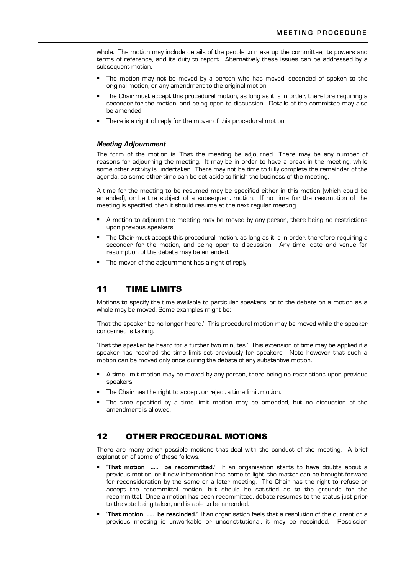whole. The motion may include details of the people to make up the committee, its powers and terms of reference, and its duty to report. Alternatively these issues can be addressed by a subsequent motion.

- The motion may not be moved by a person who has moved, seconded of spoken to the original motion, or any amendment to the original motion.
- The Chair must accept this procedural motion, as long as it is in order, therefore requiring a seconder for the motion, and being open to discussion. Details of the committee may also be amended.
- There is a right of reply for the mover of this procedural motion.

### *Meeting Adjournment*

The form of the motion is 'That the meeting be adjourned.' There may be any number of reasons for adjourning the meeting. It may be in order to have a break in the meeting, while some other activity is undertaken. There may not be time to fully complete the remainder of the agenda, so some other time can be set aside to finish the business of the meeting.

A time for the meeting to be resumed may be specified either in this motion (which could be amended), or be the subject of a subsequent motion. If no time for the resumption of the meeting is specified, then it should resume at the next regular meeting.

- ! A motion to adjourn the meeting may be moved by any person, there being no restrictions upon previous speakers.
- ! The Chair must accept this procedural motion, as long as it is in order, therefore requiring a seconder for the motion, and being open to discussion. Any time, date and venue for resumption of the debate may be amended.
- The mover of the adjournment has a right of reply.

# 11 TIME LIMITS

Motions to specify the time available to particular speakers, or to the debate on a motion as a whole may be moved. Some examples might be:

'That the speaker be no longer heard.' This procedural motion may be moved while the speaker concerned is talking.

'That the speaker be heard for a further two minutes.' This extension of time may be applied if a speaker has reached the time limit set previously for speakers. Note however that such a motion can be moved only once during the debate of any substantive motion.

- A time limit motion may be moved by any person, there being no restrictions upon previous speakers.
- The Chair has the right to accept or reject a time limit motion.
- The time specified by a time limit motion may be amended, but no discussion of the amendment is allowed.

# 12 OTHER PROCEDURAL MOTIONS

There are many other possible motions that deal with the conduct of the meeting. A brief explanation of some of these follows.

- ! **'That motion ..... be recommitted.'** If an organisation starts to have doubts about a previous motion, or if new information has come to light, the matter can be brought forward for reconsideration by the same or a later meeting. The Chair has the right to refuse or accept the recommittal motion, but should be satisfied as to the grounds for the recommittal. Once a motion has been recommitted, debate resumes to the status just prior to the vote being taken, and is able to be amended.
- ! **'That motion ..... be rescinded.'** If an organisation feels that a resolution of the current or a previous meeting is unworkable or unconstitutional, it may be rescinded. Rescission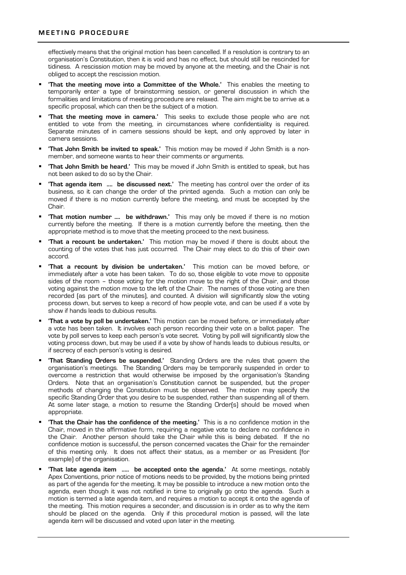effectively means that the original motion has been cancelled. If a resolution is contrary to an organisation's Constitution, then it is void and has no effect, but should still be rescinded for tidiness. A rescission motion may be moved by anyone at the meeting, and the Chair is not obliged to accept the rescission motion.

- ! **'That the meeting move into a Committee of the Whole.'** This enables the meeting to temporarily enter a type of brainstorming session, or general discussion in which the formalities and limitations of meeting procedure are relaxed. The aim might be to arrive at a specific proposal, which can then be the subject of a motion.
- ! **'That the meeting move in camera.'** This seeks to exclude those people who are not entitled to vote from the meeting, in circumstances where confidentiality is required. Separate minutes of in camera sessions should be kept, and only approved by later in camera sessions.
- ! **'That John Smith be invited to speak.'** This motion may be moved if John Smith is a nonmember, and someone wants to hear their comments or arguments.
- ! **'That John Smith be heard.'** This may be moved if John Smith is entitled to speak, but has not been asked to do so by the Chair.
- ! **'That agenda item .... be discussed next.'** The meeting has control over the order of its business, so it can change the order of the printed agenda. Such a motion can only be moved if there is no motion currently before the meeting, and must be accepted by the Chair.
- ! **'That motion number .... be withdrawn.'** This may only be moved if there is no motion currently before the meeting. If there is a motion currently before the meeting, then the appropriate method is to move that the meeting proceed to the next business.
- ! **'That a recount be undertaken.'** This motion may be moved if there is doubt about the counting of the votes that has just occurred. The Chair may elect to do this of their own accord.
- ! **'That a recount by division be undertaken.'** This motion can be moved before, or immediately after a vote has been taken. To do so, those eligible to vote move to opposite sides of the room – those voting for the motion move to the right of the Chair, and those voting against the motion move to the left of the Chair. The names of those voting are then recorded (as part of the minutes), and counted. A division will significantly slow the voting process down, but serves to keep a record of how people vote, and can be used if a vote by show if hands leads to dubious results.
- ! **'That a vote by poll be undertaken.'** This motion can be moved before, or immediately after a vote has been taken. It involves each person recording their vote on a ballot paper. The vote by poll serves to keep each person's vote secret. Voting by poll will significantly slow the voting process down, but may be used if a vote by show of hands leads to dubious results, or if secrecy of each person's voting is desired.
- ! **'That Standing Orders be suspended.'** Standing Orders are the rules that govern the organisation's meetings. The Standing Orders may be temporarily suspended in order to overcome a restriction that would otherwise be imposed by the organisation's Standing Orders. Note that an organisation's Constitution cannot be suspended, but the proper methods of changing the Constitution must be observed. The motion may specify the specific Standing Order that you desire to be suspended, rather than suspending all of them. At some later stage, a motion to resume the Standing Order(s) should be moved when appropriate.
- ! **'That the Chair has the confidence of the meeting.'** This is a no confidence motion in the Chair, moved in the affirmative form, requiring a negative vote to declare no confidence in the Chair. Another person should take the Chair while this is being debated. If the no confidence motion is successful, the person concerned vacates the Chair for the remainder of this meeting only. It does not affect their status, as a member or as President (for example) of the organisation.
- ! **'That late agenda item ..... be accepted onto the agenda.'** At some meetings, notably Apex Conventions, prior notice of motions needs to be provided, by the motions being printed as part of the agenda for the meeting. It may be possible to introduce a new motion onto the agenda, even though it was not notified in time to originally go onto the agenda. Such a motion is termed a late agenda item, and requires a motion to accept it onto the agenda of the meeting. This motion requires a seconder, and discussion is in order as to why the item should be placed on the agenda. Only if this procedural motion is passed, will the late agenda item will be discussed and voted upon later in the meeting.